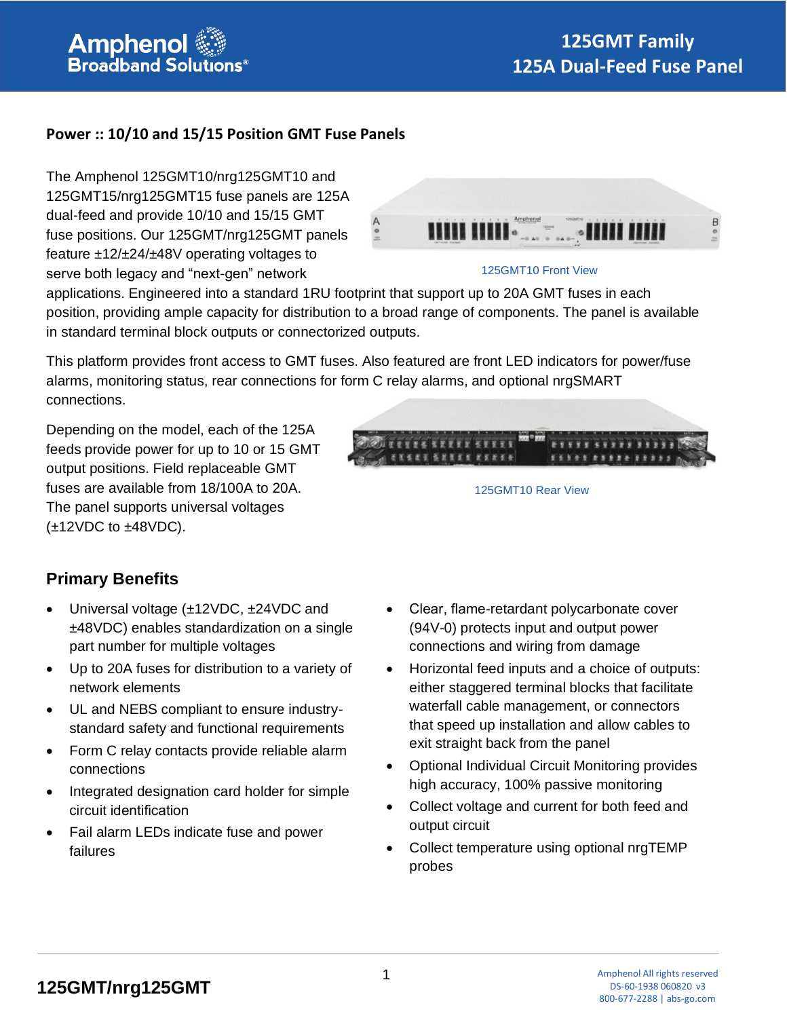

### **Power :: 10/10 and 15/15 Position GMT Fuse Panels**

The Amphenol 125GMT10/nrg125GMT10 and 125GMT15/nrg125GMT15 fuse panels are 125A dual-feed and provide 10/10 and 15/15 GMT fuse positions. Our 125GMT/nrg125GMT panels feature ±12/±24/±48V operating voltages to serve both legacy and "next-gen" network



#### 125GMT10 Front View

applications. Engineered into a standard 1RU footprint that support up to 20A GMT fuses in each position, providing ample capacity for distribution to a broad range of components. The panel is available in standard terminal block outputs or connectorized outputs.

This platform provides front access to GMT fuses. Also featured are front LED indicators for power/fuse alarms, monitoring status, rear connections for form C relay alarms, and optional nrgSMART connections.

Depending on the model, each of the 125A feeds provide power for up to 10 or 15 GMT output positions. Field replaceable GMT fuses are available from 18/100A to 20A. The panel supports universal voltages  $(\pm 12$ VDC to  $\pm 48$ VDC).



125GMT10 Rear View

## **Primary Benefits**

- Universal voltage (±12VDC, ±24VDC and ±48VDC) enables standardization on a single part number for multiple voltages
- Up to 20A fuses for distribution to a variety of network elements
- UL and NEBS compliant to ensure industrystandard safety and functional requirements
- Form C relay contacts provide reliable alarm connections
- Integrated designation card holder for simple circuit identification
- Fail alarm LEDs indicate fuse and power failures
- Clear, flame-retardant polycarbonate cover (94V-0) protects input and output power connections and wiring from damage
- Horizontal feed inputs and a choice of outputs: either staggered terminal blocks that facilitate waterfall cable management, or connectors that speed up installation and allow cables to exit straight back from the panel
- Optional Individual Circuit Monitoring provides high accuracy, 100% passive monitoring
- Collect voltage and current for both feed and output circuit
- Collect temperature using optional nrgTEMP probes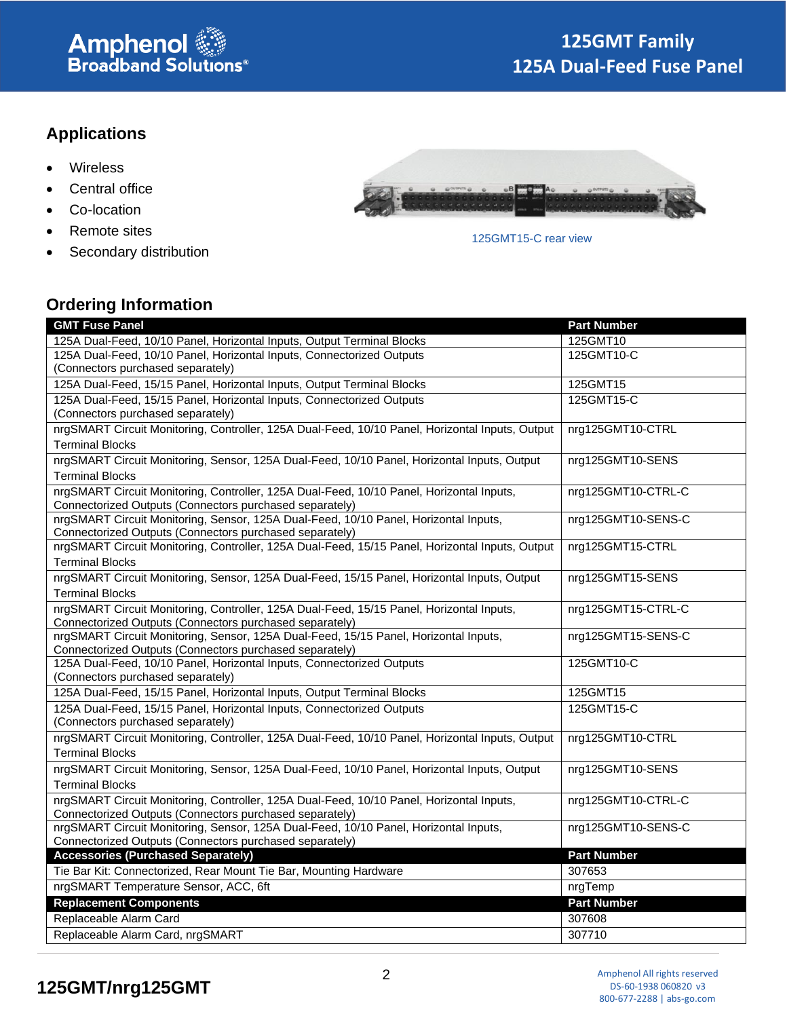# **Amphenol**<br>Broadband Solutions®

# **Applications**

- Wireless
- Central office
- Co-location
- Remote sites
- Secondary distribution



#### 125GMT15-C rear view

## **Ordering Information**

| <b>GMT Fuse Panel</b>                                                                                                            | <b>Part Number</b> |
|----------------------------------------------------------------------------------------------------------------------------------|--------------------|
| 125A Dual-Feed, 10/10 Panel, Horizontal Inputs, Output Terminal Blocks                                                           | 125GMT10           |
| 125A Dual-Feed, 10/10 Panel, Horizontal Inputs, Connectorized Outputs                                                            | 125GMT10-C         |
| (Connectors purchased separately)                                                                                                |                    |
| 125A Dual-Feed, 15/15 Panel, Horizontal Inputs, Output Terminal Blocks                                                           | 125GMT15           |
| 125A Dual-Feed, 15/15 Panel, Horizontal Inputs, Connectorized Outputs                                                            | 125GMT15-C         |
| (Connectors purchased separately)                                                                                                |                    |
| nrgSMART Circuit Monitoring, Controller, 125A Dual-Feed, 10/10 Panel, Horizontal Inputs, Output                                  | nrg125GMT10-CTRL   |
| <b>Terminal Blocks</b>                                                                                                           |                    |
| nrgSMART Circuit Monitoring, Sensor, 125A Dual-Feed, 10/10 Panel, Horizontal Inputs, Output                                      | nrg125GMT10-SENS   |
| <b>Terminal Blocks</b>                                                                                                           |                    |
| nrgSMART Circuit Monitoring, Controller, 125A Dual-Feed, 10/10 Panel, Horizontal Inputs,                                         | nrg125GMT10-CTRL-C |
| Connectorized Outputs (Connectors purchased separately)                                                                          |                    |
| nrgSMART Circuit Monitoring, Sensor, 125A Dual-Feed, 10/10 Panel, Horizontal Inputs,                                             | nrg125GMT10-SENS-C |
| Connectorized Outputs (Connectors purchased separately)                                                                          |                    |
| nrgSMART Circuit Monitoring, Controller, 125A Dual-Feed, 15/15 Panel, Horizontal Inputs, Output                                  | nrg125GMT15-CTRL   |
| <b>Terminal Blocks</b>                                                                                                           |                    |
| nrgSMART Circuit Monitoring, Sensor, 125A Dual-Feed, 15/15 Panel, Horizontal Inputs, Output                                      | nrg125GMT15-SENS   |
| <b>Terminal Blocks</b>                                                                                                           |                    |
| nrgSMART Circuit Monitoring, Controller, 125A Dual-Feed, 15/15 Panel, Horizontal Inputs,                                         | nrg125GMT15-CTRL-C |
| Connectorized Outputs (Connectors purchased separately)                                                                          |                    |
| nrgSMART Circuit Monitoring, Sensor, 125A Dual-Feed, 15/15 Panel, Horizontal Inputs,                                             | nrg125GMT15-SENS-C |
| Connectorized Outputs (Connectors purchased separately)<br>125A Dual-Feed, 10/10 Panel, Horizontal Inputs, Connectorized Outputs | 125GMT10-C         |
| (Connectors purchased separately)                                                                                                |                    |
| 125A Dual-Feed, 15/15 Panel, Horizontal Inputs, Output Terminal Blocks                                                           | 125GMT15           |
| 125A Dual-Feed, 15/15 Panel, Horizontal Inputs, Connectorized Outputs                                                            | 125GMT15-C         |
| (Connectors purchased separately)                                                                                                |                    |
| nrgSMART Circuit Monitoring, Controller, 125A Dual-Feed, 10/10 Panel, Horizontal Inputs, Output                                  | nrg125GMT10-CTRL   |
| <b>Terminal Blocks</b>                                                                                                           |                    |
| nrgSMART Circuit Monitoring, Sensor, 125A Dual-Feed, 10/10 Panel, Horizontal Inputs, Output                                      | nrg125GMT10-SENS   |
| <b>Terminal Blocks</b>                                                                                                           |                    |
| nrgSMART Circuit Monitoring, Controller, 125A Dual-Feed, 10/10 Panel, Horizontal Inputs,                                         | nrg125GMT10-CTRL-C |
| Connectorized Outputs (Connectors purchased separately)                                                                          |                    |
| nrgSMART Circuit Monitoring, Sensor, 125A Dual-Feed, 10/10 Panel, Horizontal Inputs,                                             | nrg125GMT10-SENS-C |
| Connectorized Outputs (Connectors purchased separately)                                                                          |                    |
| <b>Accessories (Purchased Separately)</b>                                                                                        | <b>Part Number</b> |
| Tie Bar Kit: Connectorized, Rear Mount Tie Bar, Mounting Hardware                                                                | 307653             |
| nrgSMART Temperature Sensor, ACC, 6ft                                                                                            | nrgTemp            |
| <b>Replacement Components</b>                                                                                                    | <b>Part Number</b> |
| Replaceable Alarm Card                                                                                                           | 307608             |
| Replaceable Alarm Card, nrgSMART                                                                                                 | 307710             |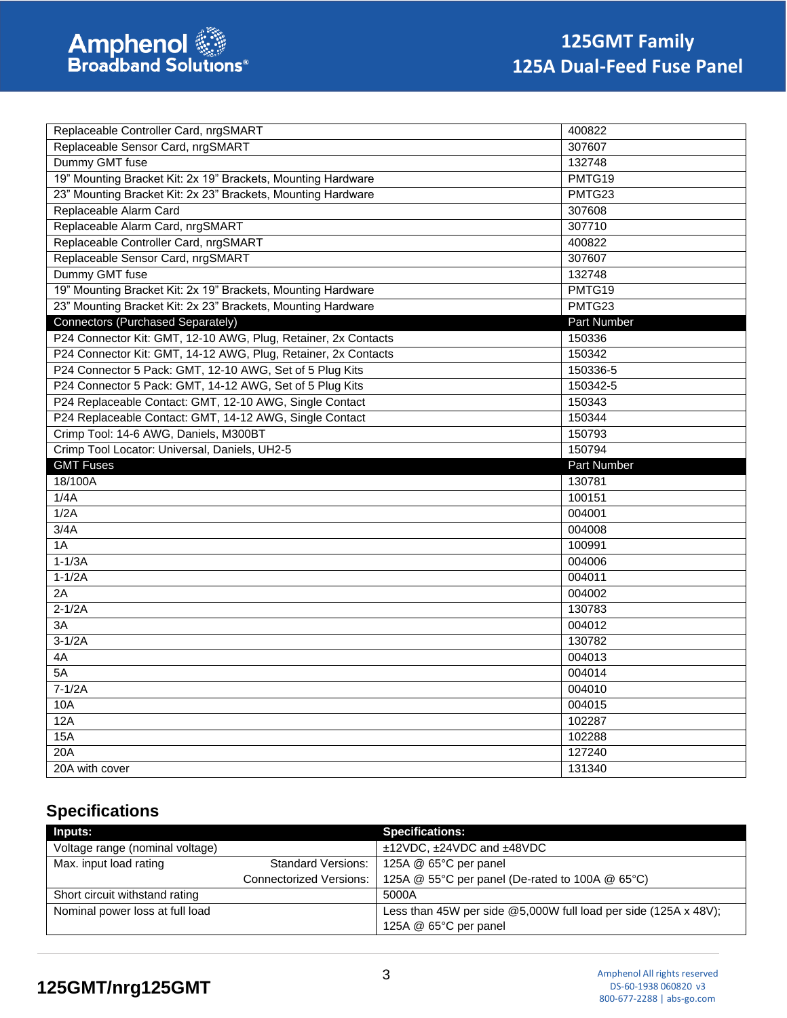| Replaceable Controller Card, nrgSMART                          | 400822           |
|----------------------------------------------------------------|------------------|
| Replaceable Sensor Card, nrgSMART                              | 307607           |
| Dummy GMT fuse                                                 | 132748           |
| 19" Mounting Bracket Kit: 2x 19" Brackets, Mounting Hardware   | PMTG19           |
| 23" Mounting Bracket Kit: 2x 23" Brackets, Mounting Hardware   | PMTG23           |
| Replaceable Alarm Card                                         | 307608           |
| Replaceable Alarm Card, nrgSMART                               | 307710           |
| Replaceable Controller Card, nrgSMART                          | 400822           |
| Replaceable Sensor Card, nrgSMART                              | 307607           |
| Dummy GMT fuse                                                 | 132748           |
| 19" Mounting Bracket Kit: 2x 19" Brackets, Mounting Hardware   | PMTG19           |
| 23" Mounting Bracket Kit: 2x 23" Brackets, Mounting Hardware   | PMTG23           |
| Connectors (Purchased Separately)                              | Part Number      |
| P24 Connector Kit: GMT, 12-10 AWG, Plug, Retainer, 2x Contacts | 150336           |
| P24 Connector Kit: GMT, 14-12 AWG, Plug, Retainer, 2x Contacts | 150342           |
| P24 Connector 5 Pack: GMT, 12-10 AWG, Set of 5 Plug Kits       | 150336-5         |
| P24 Connector 5 Pack: GMT, 14-12 AWG, Set of 5 Plug Kits       | 150342-5         |
| P24 Replaceable Contact: GMT, 12-10 AWG, Single Contact        | 150343           |
| P24 Replaceable Contact: GMT, 14-12 AWG, Single Contact        | 150344           |
| Crimp Tool: 14-6 AWG, Daniels, M300BT                          | 150793           |
|                                                                |                  |
| Crimp Tool Locator: Universal, Daniels, UH2-5                  | 150794           |
| <b>GMT Fuses</b>                                               | Part Number      |
| 18/100A                                                        | 130781           |
| 1/4A                                                           | 100151           |
| 1/2A                                                           | 004001           |
| 3/4A                                                           | 004008           |
| 1A                                                             | 100991           |
| $1-1/3A$                                                       | 004006           |
| $1-1/2A$                                                       | 004011           |
| $\overline{2A}$                                                | 004002           |
| $2-1/2A$                                                       | 130783           |
| 3A                                                             | 004012           |
| $3-1/2A$                                                       | 130782           |
| 4A                                                             | 004013           |
| 5A                                                             | 004014           |
| $7-1/2A$                                                       | 004010           |
| 10A                                                            | 004015           |
| 12A                                                            | 102287           |
| 15A                                                            | 102288           |
| 20A<br>20A with cover                                          | 127240<br>131340 |

# **Specifications**

| <b>Inputs:</b>                  |                                | <b>Specifications:</b>                                            |
|---------------------------------|--------------------------------|-------------------------------------------------------------------|
| Voltage range (nominal voltage) |                                | $±12VDC$ , $±24VDC$ and $±48VDC$                                  |
| Max. input load rating          | Standard Versions:             | 125A @ 65°C per panel                                             |
|                                 | <b>Connectorized Versions:</b> | 125A @ 55°C per panel (De-rated to 100A @ 65°C)                   |
| Short circuit withstand rating  |                                | 5000A                                                             |
| Nominal power loss at full load |                                | Less than 45W per side $@5,000W$ full load per side (125A x 48V); |
|                                 |                                | 125A $@$ 65 $°C$ per panel                                        |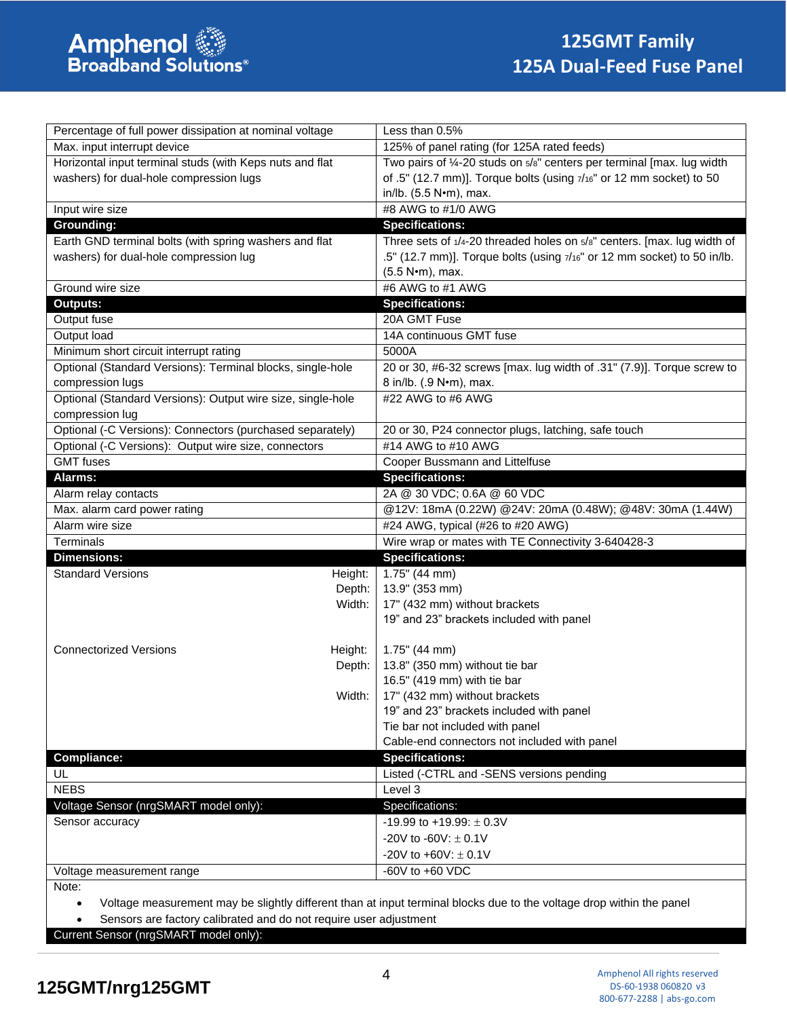| Percentage of full power dissipation at nominal voltage     |         | Less than 0.5%                                                            |  |
|-------------------------------------------------------------|---------|---------------------------------------------------------------------------|--|
| Max. input interrupt device                                 |         | 125% of panel rating (for 125A rated feeds)                               |  |
| Horizontal input terminal studs (with Keps nuts and flat    |         | Two pairs of 1/4-20 studs on $5/8$ " centers per terminal [max. lug width |  |
| washers) for dual-hole compression lugs                     |         | of .5" (12.7 mm)]. Torque bolts (using $7/16$ " or 12 mm socket) to 50    |  |
|                                                             |         | in/lb. (5.5 N•m), max.                                                    |  |
| Input wire size                                             |         | #8 AWG to #1/0 AWG                                                        |  |
| <b>Grounding:</b>                                           |         | <b>Specifications:</b>                                                    |  |
| Earth GND terminal bolts (with spring washers and flat      |         | Three sets of 1/4-20 threaded holes on 5/8" centers. [max. lug width of   |  |
| washers) for dual-hole compression lug                      |         | .5" (12.7 mm)]. Torque bolts (using 7/16" or 12 mm socket) to 50 in/lb.   |  |
|                                                             |         | (5.5 N•m), max.                                                           |  |
| Ground wire size                                            |         | #6 AWG to #1 AWG                                                          |  |
| <b>Outputs:</b>                                             |         | <b>Specifications:</b>                                                    |  |
| Output fuse                                                 |         | 20A GMT Fuse                                                              |  |
| Output load                                                 |         | 14A continuous GMT fuse                                                   |  |
| Minimum short circuit interrupt rating                      |         | 5000A                                                                     |  |
| Optional (Standard Versions): Terminal blocks, single-hole  |         | 20 or 30, #6-32 screws [max. lug width of .31" (7.9)]. Torque screw to    |  |
| compression lugs                                            |         | 8 in/lb. (.9 N•m), max.                                                   |  |
| Optional (Standard Versions): Output wire size, single-hole |         | #22 AWG to #6 AWG                                                         |  |
| compression lug                                             |         |                                                                           |  |
| Optional (-C Versions): Connectors (purchased separately)   |         | 20 or 30, P24 connector plugs, latching, safe touch                       |  |
| Optional (-C Versions): Output wire size, connectors        |         | #14 AWG to #10 AWG                                                        |  |
| <b>GMT</b> fuses                                            |         | Cooper Bussmann and Littelfuse                                            |  |
| Alarms:                                                     |         | <b>Specifications:</b>                                                    |  |
| Alarm relay contacts                                        |         | 2A @ 30 VDC; 0.6A @ 60 VDC                                                |  |
| Max. alarm card power rating                                |         | @12V: 18mA (0.22W) @24V: 20mA (0.48W); @48V: 30mA (1.44W)                 |  |
| Alarm wire size                                             |         | #24 AWG, typical (#26 to #20 AWG)                                         |  |
| Terminals                                                   |         | Wire wrap or mates with TE Connectivity 3-640428-3                        |  |
| <b>Dimensions:</b>                                          |         | <b>Specifications:</b>                                                    |  |
| <b>Standard Versions</b>                                    | Height: | 1.75" (44 mm)                                                             |  |
|                                                             | Depth:  | 13.9" (353 mm)                                                            |  |
|                                                             | Width:  | 17" (432 mm) without brackets                                             |  |
|                                                             |         | 19" and 23" brackets included with panel                                  |  |
|                                                             |         |                                                                           |  |
| <b>Connectorized Versions</b>                               | Height: | $1.75$ " (44 mm)                                                          |  |
|                                                             | Depth:  | 13.8" (350 mm) without tie bar                                            |  |
|                                                             |         | 16.5" (419 mm) with tie bar                                               |  |
|                                                             | Width:  | 17" (432 mm) without brackets                                             |  |
|                                                             |         | 19" and 23" brackets included with panel                                  |  |
|                                                             |         | Tie bar not included with panel                                           |  |
|                                                             |         | Cable-end connectors not included with panel                              |  |
| Compliance:                                                 |         | <b>Specifications:</b>                                                    |  |
| UL                                                          |         | Listed (-CTRL and -SENS versions pending                                  |  |
| <b>NEBS</b>                                                 |         | Level 3                                                                   |  |
| Voltage Sensor (nrgSMART model only):                       |         | Specifications:                                                           |  |
| Sensor accuracy                                             |         | -19.99 to +19.99: $\pm$ 0.3V                                              |  |
|                                                             |         | -20V to -60V: $\pm$ 0.1V                                                  |  |
|                                                             |         | -20V to +60V: $\pm$ 0.1V                                                  |  |
| Voltage measurement range                                   |         | -60V to +60 VDC                                                           |  |
|                                                             |         |                                                                           |  |

• Voltage measurement may be slightly different than at input terminal blocks due to the voltage drop within the panel

Sensors are factory calibrated and do not require user adjustment

Current Sensor (nrgSMART model only):